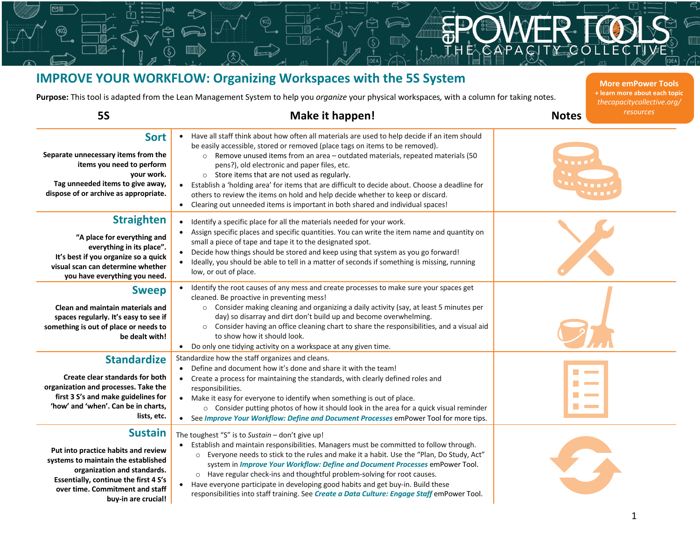## **IMPROVE YOUR WORKFLOW: Organizing Workspaces with the 5S System Purpose:** This tool is adapted from the Lean Management System to help you *organize* your physical workspaces*,* with a column for taking notes. **5S Make it happen! Notes More emPower Tools + learn more about each topic** *thecapacitycollective.org/ resources*

অা

| <b>Sort</b><br>Separate unnecessary items from the<br>items you need to perform<br>your work.<br>Tag unneeded items to give away,<br>dispose of or archive as appropriate.                                                     | Have all staff think about how often all materials are used to help decide if an item should<br>be easily accessible, stored or removed (place tags on items to be removed).<br>o Remove unused items from an area - outdated materials, repeated materials (50<br>pens?), old electronic and paper files, etc.<br>o Store items that are not used as regularly.<br>Establish a 'holding area' for items that are difficult to decide about. Choose a deadline for<br>others to review the items on hold and help decide whether to keep or discard.<br>Clearing out unneeded items is important in both shared and individual spaces! | i i San Lati                                                                               |
|--------------------------------------------------------------------------------------------------------------------------------------------------------------------------------------------------------------------------------|----------------------------------------------------------------------------------------------------------------------------------------------------------------------------------------------------------------------------------------------------------------------------------------------------------------------------------------------------------------------------------------------------------------------------------------------------------------------------------------------------------------------------------------------------------------------------------------------------------------------------------------|--------------------------------------------------------------------------------------------|
| <b>Straighten</b><br>"A place for everything and<br>everything in its place".<br>It's best if you organize so a quick<br>visual scan can determine whether<br>you have everything you need.                                    | Identify a specific place for all the materials needed for your work.<br>$\bullet$<br>Assign specific places and specific quantities. You can write the item name and quantity on<br>small a piece of tape and tape it to the designated spot.<br>Decide how things should be stored and keep using that system as you go forward!<br>Ideally, you should be able to tell in a matter of seconds if something is missing, running<br>low, or out of place.                                                                                                                                                                             |                                                                                            |
| <b>Sweep</b><br>Clean and maintain materials and<br>spaces regularly. It's easy to see if<br>something is out of place or needs to<br>be dealt with!                                                                           | • Identify the root causes of any mess and create processes to make sure your spaces get<br>cleaned. Be proactive in preventing mess!<br>o Consider making cleaning and organizing a daily activity (say, at least 5 minutes per<br>day) so disarray and dirt don't build up and become overwhelming.<br>o Consider having an office cleaning chart to share the responsibilities, and a visual aid<br>to show how it should look.<br>• Do only one tidying activity on a workspace at any given time.                                                                                                                                 |                                                                                            |
| <b>Standardize</b><br>Create clear standards for both<br>organization and processes. Take the<br>first 3 S's and make guidelines for<br>'how' and 'when'. Can be in charts,<br>lists, etc.                                     | Standardize how the staff organizes and cleans.<br>Define and document how it's done and share it with the team!<br>Create a process for maintaining the standards, with clearly defined roles and<br>responsibilities.<br>• Make it easy for everyone to identify when something is out of place.<br>o Consider putting photos of how it should look in the area for a quick visual reminder<br>• See Improve Your Workflow: Define and Document Processes emPower Tool for more tips.                                                                                                                                                | <b>Contract</b><br>$\sim 10^{11}$ m $^{-1}$<br><b>Contract</b><br><b>Contract Contract</b> |
| <b>Sustain</b><br>Put into practice habits and review<br>systems to maintain the established<br>organization and standards.<br>Essentially, continue the first 4 S's<br>over time. Commitment and staff<br>buy-in are crucial! | The toughest "S" is to Sustain $-$ don't give up!<br>• Establish and maintain responsibilities. Managers must be committed to follow through.<br>o Everyone needs to stick to the rules and make it a habit. Use the "Plan, Do Study, Act"<br>system in Improve Your Workflow: Define and Document Processes emPower Tool.<br>o Have regular check-ins and thoughtful problem-solving for root causes.<br>• Have everyone participate in developing good habits and get buy-in. Build these<br>responsibilities into staff training. See Create a Data Culture: Engage Staff emPower Tool.                                             |                                                                                            |